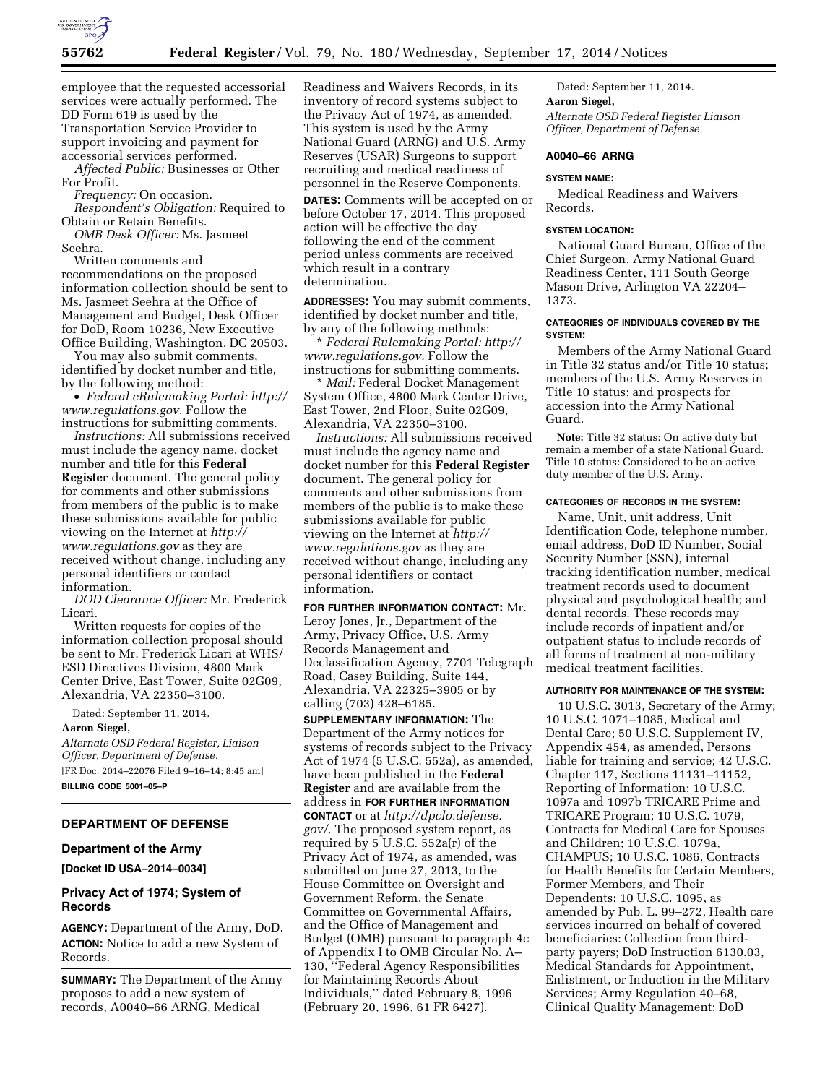

employee that the requested accessorial services were actually performed. The DD Form 619 is used by the Transportation Service Provider to support invoicing and payment for accessorial services performed.

*Affected Public:* Businesses or Other For Profit.

*Frequency:* On occasion.

*Respondent's Obligation:* Required to Obtain or Retain Benefits.

*OMB Desk Officer:* Ms. Jasmeet Seehra.

Written comments and recommendations on the proposed information collection should be sent to Ms. Jasmeet Seehra at the Office of Management and Budget, Desk Officer for DoD, Room 10236, New Executive Office Building, Washington, DC 20503.

You may also submit comments, identified by docket number and title, by the following method:

• *Federal eRulemaking Portal: [http://](http://www.regulations.gov)  [www.regulations.gov.](http://www.regulations.gov)* Follow the instructions for submitting comments.

*Instructions:* All submissions received must include the agency name, docket number and title for this **Federal Register** document. The general policy for comments and other submissions from members of the public is to make these submissions available for public viewing on the Internet at *[http://](http://www.regulations.gov) [www.regulations.gov](http://www.regulations.gov)* as they are received without change, including any personal identifiers or contact information.

*DOD Clearance Officer:* Mr. Frederick Licari.

Written requests for copies of the information collection proposal should be sent to Mr. Frederick Licari at WHS/ ESD Directives Division, 4800 Mark Center Drive, East Tower, Suite 02G09, Alexandria, VA 22350–3100.

Dated: September 11, 2014.

## **Aaron Siegel,**

*Alternate OSD Federal Register, Liaison Officer, Department of Defense.*  [FR Doc. 2014–22076 Filed 9–16–14; 8:45 am]

**BILLING CODE 5001–05–P** 

## **DEPARTMENT OF DEFENSE**

## **Department of the Army**

**[Docket ID USA–2014–0034]** 

## **Privacy Act of 1974; System of Records**

**AGENCY:** Department of the Army, DoD. **ACTION:** Notice to add a new System of Records.

**SUMMARY:** The Department of the Army proposes to add a new system of records, A0040–66 ARNG, Medical

Readiness and Waivers Records, in its inventory of record systems subject to the Privacy Act of 1974, as amended. This system is used by the Army National Guard (ARNG) and U.S. Army Reserves (USAR) Surgeons to support recruiting and medical readiness of personnel in the Reserve Components.

**DATES:** Comments will be accepted on or before October 17, 2014. This proposed action will be effective the day following the end of the comment period unless comments are received which result in a contrary determination.

**ADDRESSES:** You may submit comments, identified by docket number and title, by any of the following methods:

\* *Federal Rulemaking Portal: [http://](http://www.regulations.gov) [www.regulations.gov.](http://www.regulations.gov)* Follow the instructions for submitting comments.

\* *Mail:* Federal Docket Management System Office, 4800 Mark Center Drive, East Tower, 2nd Floor, Suite 02G09, Alexandria, VA 22350–3100.

*Instructions:* All submissions received must include the agency name and docket number for this **Federal Register**  document. The general policy for comments and other submissions from members of the public is to make these submissions available for public viewing on the Internet at *[http://](http://www.regulations.gov) [www.regulations.gov](http://www.regulations.gov)* as they are received without change, including any personal identifiers or contact information.

**FOR FURTHER INFORMATION CONTACT:** Mr. Leroy Jones, Jr., Department of the Army, Privacy Office, U.S. Army Records Management and Declassification Agency, 7701 Telegraph Road, Casey Building, Suite 144, Alexandria, VA 22325–3905 or by calling (703) 428–6185.

**SUPPLEMENTARY INFORMATION:** The Department of the Army notices for systems of records subject to the Privacy Act of 1974 (5 U.S.C. 552a), as amended, have been published in the **Federal Register** and are available from the address in **FOR FURTHER INFORMATION CONTACT** or at *[http://dpclo.defense.](http://dpclo.defense.gov/)  [gov/.](http://dpclo.defense.gov/)* The proposed system report, as required by 5 U.S.C. 552a(r) of the Privacy Act of 1974, as amended, was submitted on June 27, 2013, to the House Committee on Oversight and Government Reform, the Senate Committee on Governmental Affairs, and the Office of Management and Budget (OMB) pursuant to paragraph 4c of Appendix I to OMB Circular No. A– 130, ''Federal Agency Responsibilities for Maintaining Records About Individuals,'' dated February 8, 1996 (February 20, 1996, 61 FR 6427).

Dated: September 11, 2014. **Aaron Siegel,**  *Alternate OSD Federal Register Liaison Officer, Department of Defense.* 

### **A0040–66 ARNG**

## **SYSTEM NAME:**

Medical Readiness and Waivers Records.

#### **SYSTEM LOCATION:**

National Guard Bureau, Office of the Chief Surgeon, Army National Guard Readiness Center, 111 South George Mason Drive, Arlington VA 22204– 1373.

## **CATEGORIES OF INDIVIDUALS COVERED BY THE SYSTEM:**

Members of the Army National Guard in Title 32 status and/or Title 10 status; members of the U.S. Army Reserves in Title 10 status; and prospects for accession into the Army National Guard.

**Note:** Title 32 status: On active duty but remain a member of a state National Guard. Title 10 status: Considered to be an active duty member of the U.S. Army.

#### **CATEGORIES OF RECORDS IN THE SYSTEM:**

Name, Unit, unit address, Unit Identification Code, telephone number, email address, DoD ID Number, Social Security Number (SSN), internal tracking identification number, medical treatment records used to document physical and psychological health; and dental records. These records may include records of inpatient and/or outpatient status to include records of all forms of treatment at non-military medical treatment facilities.

#### **AUTHORITY FOR MAINTENANCE OF THE SYSTEM:**

10 U.S.C. 3013, Secretary of the Army; 10 U.S.C. 1071–1085, Medical and Dental Care; 50 U.S.C. Supplement IV, Appendix 454, as amended, Persons liable for training and service; 42 U.S.C. Chapter 117, Sections 11131–11152, Reporting of Information; 10 U.S.C. 1097a and 1097b TRICARE Prime and TRICARE Program; 10 U.S.C. 1079, Contracts for Medical Care for Spouses and Children; 10 U.S.C. 1079a, CHAMPUS; 10 U.S.C. 1086, Contracts for Health Benefits for Certain Members, Former Members, and Their Dependents; 10 U.S.C. 1095, as amended by Pub. L. 99–272, Health care services incurred on behalf of covered beneficiaries: Collection from thirdparty payers; DoD Instruction 6130.03, Medical Standards for Appointment, Enlistment, or Induction in the Military Services; Army Regulation 40–68, Clinical Quality Management; DoD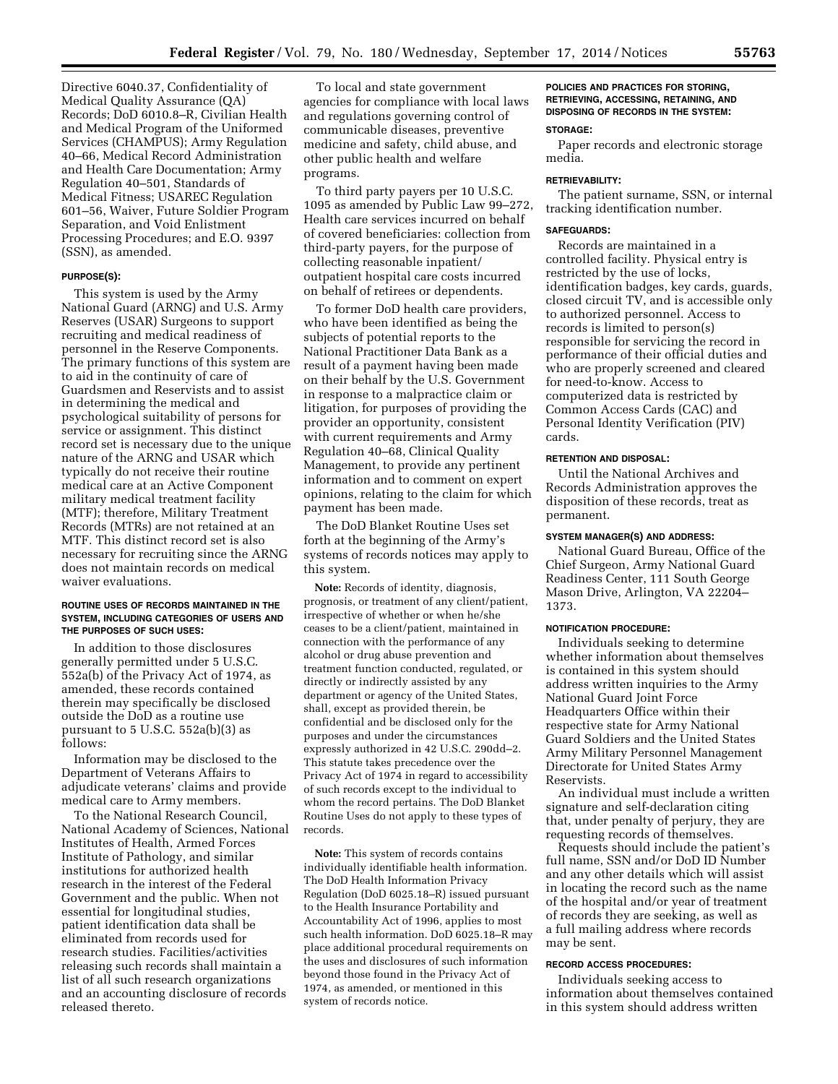Directive 6040.37, Confidentiality of Medical Quality Assurance (QA) Records; DoD 6010.8–R, Civilian Health and Medical Program of the Uniformed Services (CHAMPUS); Army Regulation 40–66, Medical Record Administration and Health Care Documentation; Army Regulation 40–501, Standards of Medical Fitness; USAREC Regulation 601–56, Waiver, Future Soldier Program Separation, and Void Enlistment Processing Procedures; and E.O. 9397 (SSN), as amended.

#### **PURPOSE(S):**

This system is used by the Army National Guard (ARNG) and U.S. Army Reserves (USAR) Surgeons to support recruiting and medical readiness of personnel in the Reserve Components. The primary functions of this system are to aid in the continuity of care of Guardsmen and Reservists and to assist in determining the medical and psychological suitability of persons for service or assignment. This distinct record set is necessary due to the unique nature of the ARNG and USAR which typically do not receive their routine medical care at an Active Component military medical treatment facility (MTF); therefore, Military Treatment Records (MTRs) are not retained at an MTF. This distinct record set is also necessary for recruiting since the ARNG does not maintain records on medical waiver evaluations.

## **ROUTINE USES OF RECORDS MAINTAINED IN THE SYSTEM, INCLUDING CATEGORIES OF USERS AND THE PURPOSES OF SUCH USES:**

In addition to those disclosures generally permitted under 5 U.S.C. 552a(b) of the Privacy Act of 1974, as amended, these records contained therein may specifically be disclosed outside the DoD as a routine use pursuant to 5 U.S.C. 552a(b)(3) as follows:

Information may be disclosed to the Department of Veterans Affairs to adjudicate veterans' claims and provide medical care to Army members.

To the National Research Council, National Academy of Sciences, National Institutes of Health, Armed Forces Institute of Pathology, and similar institutions for authorized health research in the interest of the Federal Government and the public. When not essential for longitudinal studies, patient identification data shall be eliminated from records used for research studies. Facilities/activities releasing such records shall maintain a list of all such research organizations and an accounting disclosure of records released thereto.

To local and state government agencies for compliance with local laws and regulations governing control of communicable diseases, preventive medicine and safety, child abuse, and other public health and welfare programs.

To third party payers per 10 U.S.C. 1095 as amended by Public Law 99–272, Health care services incurred on behalf of covered beneficiaries: collection from third-party payers, for the purpose of collecting reasonable inpatient/ outpatient hospital care costs incurred on behalf of retirees or dependents.

To former DoD health care providers, who have been identified as being the subjects of potential reports to the National Practitioner Data Bank as a result of a payment having been made on their behalf by the U.S. Government in response to a malpractice claim or litigation, for purposes of providing the provider an opportunity, consistent with current requirements and Army Regulation 40–68, Clinical Quality Management, to provide any pertinent information and to comment on expert opinions, relating to the claim for which payment has been made.

The DoD Blanket Routine Uses set forth at the beginning of the Army's systems of records notices may apply to this system.

**Note:** Records of identity, diagnosis, prognosis, or treatment of any client/patient, irrespective of whether or when he/she ceases to be a client/patient, maintained in connection with the performance of any alcohol or drug abuse prevention and treatment function conducted, regulated, or directly or indirectly assisted by any department or agency of the United States, shall, except as provided therein, be confidential and be disclosed only for the purposes and under the circumstances expressly authorized in 42 U.S.C. 290dd–2. This statute takes precedence over the Privacy Act of 1974 in regard to accessibility of such records except to the individual to whom the record pertains. The DoD Blanket Routine Uses do not apply to these types of records.

**Note:** This system of records contains individually identifiable health information. The DoD Health Information Privacy Regulation (DoD 6025.18–R) issued pursuant to the Health Insurance Portability and Accountability Act of 1996, applies to most such health information. DoD 6025.18–R may place additional procedural requirements on the uses and disclosures of such information beyond those found in the Privacy Act of 1974, as amended, or mentioned in this system of records notice.

# **POLICIES AND PRACTICES FOR STORING, RETRIEVING, ACCESSING, RETAINING, AND DISPOSING OF RECORDS IN THE SYSTEM:**

## **STORAGE:**

Paper records and electronic storage media.

## **RETRIEVABILITY:**

The patient surname, SSN, or internal tracking identification number.

#### **SAFEGUARDS:**

Records are maintained in a controlled facility. Physical entry is restricted by the use of locks, identification badges, key cards, guards, closed circuit TV, and is accessible only to authorized personnel. Access to records is limited to person(s) responsible for servicing the record in performance of their official duties and who are properly screened and cleared for need-to-know. Access to computerized data is restricted by Common Access Cards (CAC) and Personal Identity Verification (PIV) cards.

## **RETENTION AND DISPOSAL:**

Until the National Archives and Records Administration approves the disposition of these records, treat as permanent.

## **SYSTEM MANAGER(S) AND ADDRESS:**

National Guard Bureau, Office of the Chief Surgeon, Army National Guard Readiness Center, 111 South George Mason Drive, Arlington, VA 22204– 1373.

#### **NOTIFICATION PROCEDURE:**

Individuals seeking to determine whether information about themselves is contained in this system should address written inquiries to the Army National Guard Joint Force Headquarters Office within their respective state for Army National Guard Soldiers and the United States Army Military Personnel Management Directorate for United States Army Reservists.

An individual must include a written signature and self-declaration citing that, under penalty of perjury, they are requesting records of themselves.

Requests should include the patient's full name, SSN and/or DoD ID Number and any other details which will assist in locating the record such as the name of the hospital and/or year of treatment of records they are seeking, as well as a full mailing address where records may be sent.

## **RECORD ACCESS PROCEDURES:**

Individuals seeking access to information about themselves contained in this system should address written